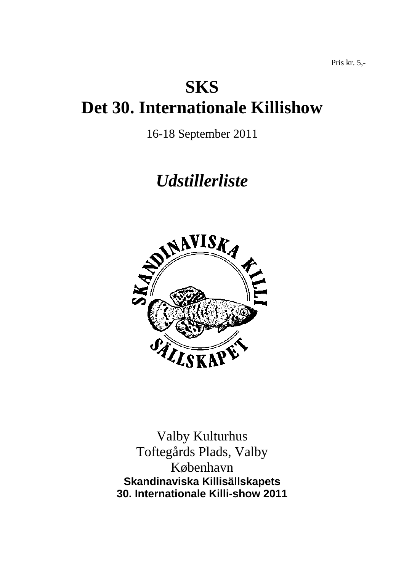# **SKS Det 30. Internationale Killishow**

16-18 September 2011

# *Udstillerliste*



Valby Kulturhus Toftegårds Plads, Valby København **Skandinaviska Killisällskapets 30. Internationale Killi-show 2011**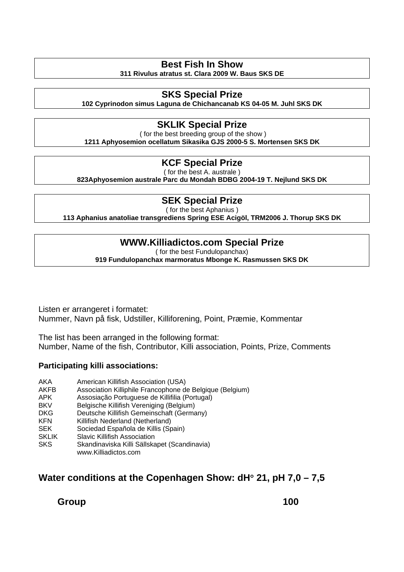# **Best Fish In Show**

**311 Rivulus atratus st. Clara 2009 W. Baus SKS DE** 

# **SKS Special Prize**

**102 Cyprinodon simus Laguna de Chichancanab KS 04-05 M. Juhl SKS DK** 

# **SKLIK Special Prize**

 ( for the best breeding group of the show ) **1211 Aphyosemion ocellatum Sikasika GJS 2000-5 S. Mortensen SKS DK** 

### **KCF Special Prize**

( for the best A. australe )

**823Aphyosemion australe Parc du Mondah BDBG 2004-19 T. Nejlund SKS DK** 

# **SEK Special Prize**

( for the best Aphanius )

**113 Aphanius anatoliae transgrediens Spring ESE Acigöl, TRM2006 J. Thorup SKS DK** 

## **WWW.Killiadictos.com Special Prize**

( for the best Fundulopanchax)

**919 Fundulopanchax marmoratus Mbonge K. Rasmussen SKS DK** 

Listen er arrangeret i formatet: Nummer, Navn på fisk, Udstiller, Killiforening, Point, Præmie, Kommentar

The list has been arranged in the following format: Number, Name of the fish, Contributor, Killi association, Points, Prize, Comments

### **Participating killi associations:**

- AKA American Killifish Association (USA)
- AKFB Association Killiphile Francophone de Belgique (Belgium)<br>APK Assosiação Portuguese de Killifilia (Portugal)
- Assosiação Portuguese de Killifilia (Portugal)
- BKV Belgische Killifish Vereniging (Belgium)
- DKG Deutsche Killifish Gemeinschaft (Germany)
- KFN Killifish Nederland (Netherland)
- SEK Sociedad Española de Killis (Spain)
- SKLIK Slavic Killifish Association
- SKS Skandinaviska Killi Sällskapet (Scandinavia)
	- www.Killiadictos.com

# **Water conditions at the Copenhagen Show: dH**° **21, pH 7,0 – 7,5**

**Group 100**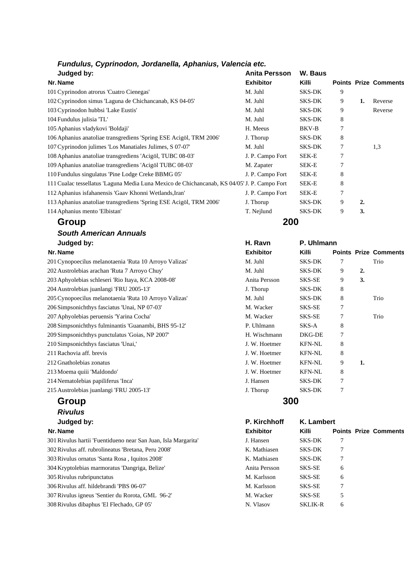| Judged by:                                                                                   | Anita Persson    | W. Baus       |   |    |                              |
|----------------------------------------------------------------------------------------------|------------------|---------------|---|----|------------------------------|
| Nr. Name                                                                                     | <b>Exhibitor</b> | <b>Killi</b>  |   |    | <b>Points Prize Comments</b> |
| 101 Cyprinodon atrorus 'Cuatro Cienegas'                                                     | M. Juhl          | <b>SKS-DK</b> | 9 |    |                              |
| 102 Cyprinodon simus 'Laguna de Chichancanab, KS 04-05'                                      | M. Juhl          | SKS-DK        | 9 | 1. | Reverse                      |
| 103 Cyprinodon hubbsi 'Lake Eustis'                                                          | M. Juhl          | <b>SKS-DK</b> | 9 |    | Reverse                      |
| 104 Fundulus julisia 'TL'                                                                    | M. Juhl          | <b>SKS-DK</b> | 8 |    |                              |
| 105 Aphanius vladykovi 'Boldaji'                                                             | H. Meeus         | BKV-B         | 7 |    |                              |
| 106 Aphanius anatoliae transgrediens 'Spring ESE Acigol, TRM 2006'                           | J. Thorup        | <b>SKS-DK</b> | 8 |    |                              |
| 107 Cyprinodon julimes 'Los Manatiales Julimes, S 07-07'                                     | M. Juhl          | <b>SKS-DK</b> | 7 |    | 1,3                          |
| 108 Aphanius anatoliae transgrediens 'Acigöl, TUBC 08-03'                                    | J. P. Campo Fort | SEK-E         | 7 |    |                              |
| 109 Aphanius anatoliae transgrediens 'Acigöl TUBC 08-03'                                     | M. Zapater       | SEK-E         |   |    |                              |
| 110 Fundulus singulatus 'Pine Lodge Creke BBMG 05'                                           | J. P. Campo Fort | SEK-E         | 8 |    |                              |
| 111 Cualac tessellatus 'Laguna Media Luna Mexico de Chichancanab, KS 04/05' J. P. Campo Fort |                  | SEK-E         | 8 |    |                              |
| 112 Aphanius isfahanensis 'Gaav Khonni Wetlands, Iran'                                       | J. P. Campo Fort | SEK-E         | 7 |    |                              |
| 113 Aphanius anatoliae transgrediens 'Spring ESE Acigol, TRM 2006'                           | J. Thorup        | <b>SKS-DK</b> | 9 | 2. |                              |
| 114 Aphanius mento 'Elbistan'                                                                | T. Nejlund       | <b>SKS-DK</b> | 9 | 3. |                              |
| Group                                                                                        | 200              |               |   |    |                              |

# *South American Annuals*  **Judged by: H. Ravn P. Uhlmann**

# **Group 300**  *Rivulus*

# **Judged by:**

| <b>Exhibitor</b> | <b>Killi</b>   | <b>Points Prize Comments</b> |
|------------------|----------------|------------------------------|
| J. Hansen        | SKS-DK         |                              |
| K. Mathiasen     | SKS-DK         | 7                            |
| K. Mathiasen     | SKS-DK         | 7                            |
| Anita Persson    | SKS-SE         | 6                            |
| M. Karlsson      | SKS-SE         | 6                            |
| M. Karlsson      | SKS-SE         | 7                            |
| M. Wacker        | SKS-SE         | 5                            |
| N. Vlasov        | <b>SKLIK-R</b> | 6                            |
|                  |                |                              |

| Judged by:                                             | H. Ravn          | P. Uhlmann    |   |    |                              |
|--------------------------------------------------------|------------------|---------------|---|----|------------------------------|
| Nr. Name                                               | <b>Exhibitor</b> | Killi         |   |    | <b>Points Prize Comments</b> |
| 201 Cynopoecilus melanotaenia 'Ruta 10 Arroyo Valizas' | M. Juhl          | SKS-DK        |   |    | Trio                         |
| 202 Austrolebias arachan 'Ruta 7 Arroyo Chuy'          | M. Juhl          | <b>SKS-DK</b> | 9 | 2. |                              |
| 203 Aphyolebias schleseri 'Rio Itaya, KCA 2008-08'     | Anita Persson    | SKS-SE        | 9 | 3. |                              |
| 204 Austrolebias juanlangi 'FRU 2005-13'               | J. Thorup        | <b>SKS-DK</b> | 8 |    |                              |
| 205 Cynopoecilus melanotaenia 'Ruta 10 Arroyo Valizas' | M. Juhl          | <b>SKS-DK</b> | 8 |    | Trio                         |
| 206 Simpsonichthys fasciatus 'Unai, NP 07-03'          | M. Wacker        | SKS-SE        | 7 |    |                              |
| 207 Aphyolebias peruensis 'Yarina Cocha'               | M. Wacker        | SKS-SE        | 7 |    | Trio                         |
| 208 Simpsonichthys fulminantis 'Guanambi, BHS 95-12'   | P. Uhlmann       | SKS-A         | 8 |    |                              |
| 209 Simpsonichthys punctulatus 'Goias, NP 2007'        | H. Wischmann     | DKG-DE        | 7 |    |                              |
| 210 Simpsonichthys fasciatus 'Unai,'                   | J. W. Hoetmer    | <b>KFN-NL</b> | 8 |    |                              |
| 211 Rachovia aff. brevis                               | J. W. Hoetmer    | <b>KFN-NL</b> | 8 |    |                              |
| 212 Gnatholebias zonatus                               | J. W. Hoetmer    | <b>KFN-NL</b> | 9 | 1. |                              |
| 213 Moema quiii 'Maldondo'                             | J. W. Hoetmer    | <b>KFN-NL</b> | 8 |    |                              |
| 214 Nematolebias papiliferus 'Inca'                    | J. Hansen        | SKS-DK        | 7 |    |                              |
| 215 Austrolebias juanlangi 'FRU 2005-13'               | J. Thorup        | <b>SKS-DK</b> | 7 |    |                              |
|                                                        |                  |               |   |    |                              |

| P. Kirchhoff  | K. Lambert     |   |                             |
|---------------|----------------|---|-----------------------------|
| Exhibitor     | Killi          |   | <b>Points Prize Comment</b> |
| J. Hansen     | SKS-DK         | 7 |                             |
| K. Mathiasen  | SKS-DK         | 7 |                             |
| K. Mathiasen  | SKS-DK         | 7 |                             |
| Anita Persson | <b>SKS-SE</b>  | 6 |                             |
| M. Karlsson   | SKS-SE         | 6 |                             |
| M. Karlsson   | SKS-SE         | 7 |                             |
| M. Wacker     | SKS-SE         | 5 |                             |
| N. Vlasov     | <b>SKLIK-R</b> | 6 |                             |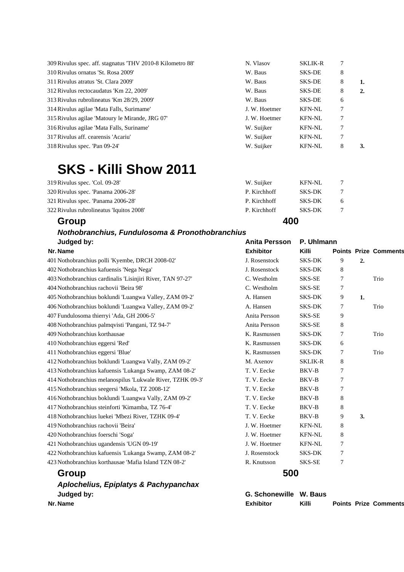| 309 Rivulus spec. aff. stagnatus 'THV 2010-8 Kilometro 88' | N. Vlasov     | <b>SKLIK-R</b> |   |    |
|------------------------------------------------------------|---------------|----------------|---|----|
| 310 Rivulus ornatus 'St. Rosa 2009'                        | W. Baus       | SKS-DE         | 8 |    |
| 311 Rivulus atratus 'St. Clara 2009'                       | W. Baus       | <b>SKS-DE</b>  | 8 | 1. |
| 312 Rivulus rectocaudatus 'Km 22, 2009'                    | W. Baus       | <b>SKS-DE</b>  | 8 | 2. |
| 313 Rivulus rubrolineatus 'Km 28/29, 2009'                 | W. Baus       | SKS-DE         | 6 |    |
| 314 Rivulus agilae 'Mata Falls, Surimame'                  | J. W. Hoetmer | <b>KFN-NL</b>  |   |    |
| 315 Rivulus agilae 'Matoury le Mirande, JRG 07'            | J. W. Hoetmer | <b>KFN-NL</b>  | 7 |    |
| 316 Rivulus agilae 'Mata Falls, Suriname'                  | W. Suijker    | <b>KFN-NL</b>  | 7 |    |
| 317 Rivulus aff. cearensis 'Acariu'                        | W. Suijker    | <b>KFN-NL</b>  | 7 |    |
| 318 Rivulus spec. 'Pan 09-24'                              | W. Suijker    | <b>KFN-NL</b>  | 8 | 3. |
|                                                            |               |                |   |    |

# **SKS - Killi Show 2011**

| Group                                    | 400          |               |   |
|------------------------------------------|--------------|---------------|---|
| 322 Rivulus rubrolineatus 'Iquitos 2008' | P. Kirchhoff | <b>SKS-DK</b> |   |
| 321 Rivulus spec. 'Panama 2006-28'       | P. Kirchhoff | SKS-DK        | 6 |
| 320 Rivulus spec. 'Panama 2006-28'       | P. Kirchhoff | SKS-DK        |   |
| 319 Rivulus spec. 'Col. 09-28'           | W. Suijker   | <b>KFN-NL</b> |   |

### *Nothobranchius, Fundulosoma & Pronothobranchius*  **Judged by: Anita Persson P. Uhlmann** *Anita Persson P. Uhlmann*

| Nr. Name                                                   | <b>Exhibitor</b>       | Killi          |                |    | <b>Points Prize Comments</b> |
|------------------------------------------------------------|------------------------|----------------|----------------|----|------------------------------|
| 401 Nothobranchius polli 'Kyembe, DRCH 2008-02'            | J. Rosenstock          | <b>SKS-DK</b>  | 9              | 2. |                              |
| 402 Nothobranchius kafuensis 'Nega Nega'                   | J. Rosenstock          | <b>SKS-DK</b>  | 8              |    |                              |
| 403 Nothobranchius cardinalis 'Lisinjiri River, TAN 97-27' | C. Westholm            | SKS-SE         | 7              |    | Trio                         |
| 404 Nothobranchius rachovii 'Beira 98'                     | C. Westholm            | SKS-SE         | 7              |    |                              |
| 405 Nothobranchius boklundi 'Luangwa Valley, ZAM 09-2'     | A. Hansen              | <b>SKS-DK</b>  | 9              | 1. |                              |
| 406 Nothobranchius boklundi 'Luangwa Valley, ZAM 09-2'     | A. Hansen              | <b>SKS-DK</b>  | 7              |    | Trio                         |
| 407 Fundulosoma thierryi 'Ada, GH 2006-5'                  | Anita Persson          | SKS-SE         | 9              |    |                              |
| 408 Nothobranchius palmqvisti 'Pangani, TZ 94-7'           | Anita Persson          | SKS-SE         | 8              |    |                              |
| 409 Nothobranchius korthausae                              | K. Rasmussen           | <b>SKS-DK</b>  | 7              |    | Trio                         |
| 410 Nothobranchius eggersi 'Red'                           | K. Rasmussen           | <b>SKS-DK</b>  | 6              |    |                              |
| 411 Nothobranchius eggersi 'Blue'                          | K. Rasmussen           | <b>SKS-DK</b>  | 7              |    | Trio                         |
| 412 Nothobranchius boklundi 'Luangwa Vally, ZAM 09-2'      | M. Axenov              | <b>SKLIK-R</b> | 8              |    |                              |
| 413 Nothobranchius kafuensis 'Lukanga Swamp, ZAM 08-2'     | T. V. Eecke            | <b>BKV-B</b>   | 7              |    |                              |
| 414 Nothobranchius melanospilus 'Lukwale River, TZHK 09-3' | T. V. Eecke            | BKV-B          | 7              |    |                              |
| 415 Nothobranchius seegersi 'Mkola, TZ 2008-12'            | T. V. Eecke            | <b>BKV-B</b>   | $\overline{7}$ |    |                              |
| 416 Nothobranchius boklundi 'Luangwa Vally, ZAM 09-2'      | T. V. Eecke            | BKV-B          | 8              |    |                              |
| 417 Nothobranchius steinforti 'Kimamba, TZ 76-4'           | T. V. Eecke            | BKV-B          | 8              |    |                              |
| 418 Nothobranchius luekei 'Mbezi River, TZHK 09-4'         | T. V. Eecke            | <b>BKV-B</b>   | 9              | 3. |                              |
| 419 Nothobranchius rachovii 'Beira'                        | J. W. Hoetmer          | <b>KFN-NL</b>  | 8              |    |                              |
| 420 Nothobranchius foerschi 'Soga'                         | J. W. Hoetmer          | <b>KFN-NL</b>  | 8              |    |                              |
| 421 Nothobranchius ugandensis 'UGN 09-19'                  | J. W. Hoetmer          | <b>KFN-NL</b>  | 7              |    |                              |
| 422 Nothobranchius kafuensis 'Lukanga Swamp, ZAM 08-2'     | J. Rosenstock          | <b>SKS-DK</b>  | 7              |    |                              |
| 423 Nothobranchius korthausae 'Mafia Island TZN 08-2'      | R. Knutsson            | SKS-SE         | 7              |    |                              |
| Group                                                      | 500                    |                |                |    |                              |
| <b>Aplochelius, Epiplatys &amp; Pachypanchax</b>           |                        |                |                |    |                              |
| Judged by:                                                 | G. Schonewille W. Baus |                |                |    |                              |

**Nr. Name Nr. Name Exhibitor Killi Points Prize Comments**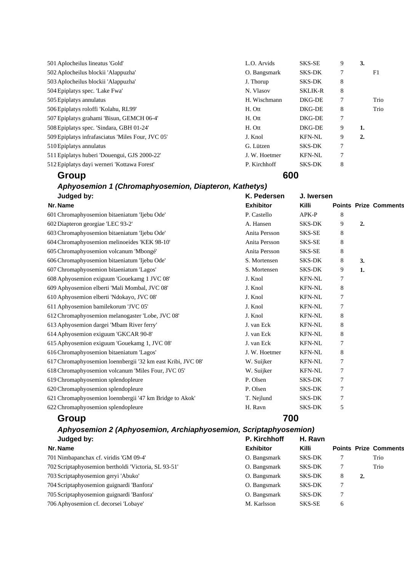| Group                                             | 600           |                |   |    |      |
|---------------------------------------------------|---------------|----------------|---|----|------|
| 512 Epiplatys dayi werneri 'Kottawa Forest'       | P. Kirchhoff  | SKS-DK         | 8 |    |      |
| 511 Epiplatys huberi 'Douengui, GJS 2000-22'      | J. W. Hoetmer | <b>KFN-NL</b>  | 7 |    |      |
| 510 Epiplatys annulatus                           | G. Lützen     | SKS-DK         | 7 |    |      |
| 509 Epiplatys infrafasciatus 'Miles Four, JVC 05' | J. Knol       | <b>KFN-NL</b>  | 9 | 2. |      |
| 508 Epiplatys spec. 'Sindara, GBH 01-24'          | H. Ott        | DKG-DE         | 9 | 1. |      |
| 507 Epiplatys grahami 'Bisun, GEMCH 06-4'         | H. Ott        | DKG-DE         | 7 |    |      |
| 506 Epiplatys roloffi 'Kolahu, RL99'              | H. Ott        | DKG-DE         | 8 |    | Trio |
| 505 Epiplatys annulatus                           | H. Wischmann  | DKG-DE         | 7 |    | Trio |
| 504 Epiplatys spec. 'Lake Fwa'                    | N. Vlasov     | <b>SKLIK-R</b> | 8 |    |      |
| 503 Aplocheilus blockii 'Alappuzha'               | J. Thorup     | SKS-DK         | 8 |    |      |
| 502 Aplocheilus blockii 'Alappuzha'               | O. Bangsmark  | SKS-DK         | 7 |    | F1   |
| 501 Aplocheilus lineatus 'Gold'                   | L.O. Arvids   | SKS-SE         | 9 | 3. |      |

# *Aphyosemion 1 (Chromaphyosemion, Diapteron, Kathetys)*

| Judged by:                                                  | K. Pedersen      | J. Iwersen    |   |    |                              |  |
|-------------------------------------------------------------|------------------|---------------|---|----|------------------------------|--|
| Nr. Name                                                    | <b>Exhibitor</b> | Killi         |   |    | <b>Points Prize Comments</b> |  |
| 601 Chromaphyosemion bitaeniatum 'Ijebu Ode'                | P. Castello      | APK-P         | 8 |    |                              |  |
| 602 Diapteron georgiae 'LEC 93-2'                           | A. Hansen        | <b>SKS-DK</b> | 9 | 2. |                              |  |
| 603 Chromaphyosemion bitaeniatum 'Ijebu Ode'                | Anita Persson    | SKS-SE        | 8 |    |                              |  |
| 604 Chromaphyosemion melinoeides 'KEK 98-10'                | Anita Persson    | SKS-SE        | 8 |    |                              |  |
| 605 Chromaphyosemion volcanum 'Mbongé'                      | Anita Persson    | SKS-SE        | 8 |    |                              |  |
| 606 Chromaphyosemion bitaeniatum 'Ijebu Ode'                | S. Mortensen     | <b>SKS-DK</b> | 8 | 3. |                              |  |
| 607 Chromaphyosemion bitaeniatum 'Lagos'                    | S. Mortensen     | <b>SKS-DK</b> | 9 | 1. |                              |  |
| 608 Aphyosemion exiguum 'Gouekamg 1 JVC 08'                 | J. Knol          | <b>KFN-NL</b> | 7 |    |                              |  |
| 609 Aphyosemion elberti 'Mali Mombal, JVC 08'               | J. Knol          | <b>KFN-NL</b> | 8 |    |                              |  |
| 610 Aphyosemion elberti 'Ndokayo, JVC 08'                   | J. Knol          | <b>KFN-NL</b> | 7 |    |                              |  |
| 611 Aphyosemion bamilekorum 'JVC 05'                        | J. Knol          | <b>KFN-NL</b> | 7 |    |                              |  |
| 612 Chromaphyosemion melanogaster 'Lobe, JVC 08'            | J. Knol          | <b>KFN-NL</b> | 8 |    |                              |  |
| 613 Aphyosemion dargei 'Mbam River ferry'                   | J. van Eck       | <b>KFN-NL</b> | 8 |    |                              |  |
| 614 Aphyosemion exiguum 'GKCAR 90-8'                        | J. van Eck       | <b>KFN-NL</b> | 8 |    |                              |  |
| 615 Aphyosemion exiguum 'Gouekamg 1, JVC 08'                | J. van Eck       | <b>KFN-NL</b> | 7 |    |                              |  |
| 616 Chromaphyosemion bitaeniatum 'Lagos'                    | J. W. Hoetmer    | <b>KFN-NL</b> | 8 |    |                              |  |
| 617 Chromaphyosemion loennbergii '32 km east Kribi, JVC 08' | W. Suijker       | <b>KFN-NL</b> | 7 |    |                              |  |
| 618 Chromaphyosemion volcanum 'Miles Four, JVC 05'          | W. Suijker       | <b>KFN-NL</b> | 7 |    |                              |  |
| 619 Chromaphyosemion splendopleure                          | P. Olsen         | <b>SKS-DK</b> | 7 |    |                              |  |
| 620 Chromaphyosemion splendopleure                          | P. Olsen         | <b>SKS-DK</b> | 7 |    |                              |  |
| 621 Chromaphyosemion loennbergii '47 km Bridge to Akok'     | T. Nejlund       | <b>SKS-DK</b> | 7 |    |                              |  |
| 622 Chromaphyosemion splendopleure                          | H. Ravn          | <b>SKS-DK</b> | 5 |    |                              |  |
| Group                                                       | 700              |               |   |    |                              |  |

| Aphyosemion 2 (Aphyosemion, Archiaphyosemion, Scriptaphyosemion) |                  |               |   |    |                              |
|------------------------------------------------------------------|------------------|---------------|---|----|------------------------------|
| Judged by:                                                       | P. Kirchhoff     | H. Ravn       |   |    |                              |
| Nr. Name                                                         | <b>Exhibitor</b> | <b>Killi</b>  |   |    | <b>Points Prize Comments</b> |
| 701 Nimbapanchax cf. viridis 'GM 09-4'                           | O. Bangsmark     | <b>SKS-DK</b> |   |    | Trio                         |
| 702 Scriptaphyosemion bertholdi 'Victoria, SL 93-51'             | O. Bangsmark     | <b>SKS-DK</b> | 7 |    | Trio                         |
| 703 Scriptaphyosemion geryi 'Abuko'                              | O. Bangsmark     | <b>SKS-DK</b> | 8 | 2. |                              |
| 704 Scriptaphyosemion guignardi 'Banfora'                        | O. Bangsmark     | <b>SKS-DK</b> | 7 |    |                              |
| 705 Scriptaphyosemion guignardi 'Banfora'                        | O. Bangsmark     | <b>SKS-DK</b> | 7 |    |                              |
| 706 Aphyosemion cf. decorsei 'Lobaye'                            | M. Karlsson      | SKS-SE        | 6 |    |                              |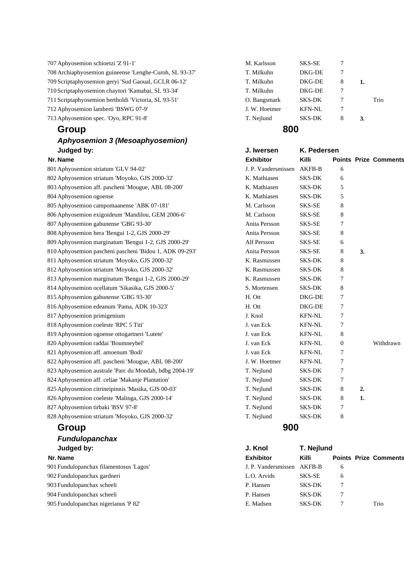| 713 Aphyosemion spec. 'Oyo, RPC 91-8'                   | T. Nejlund    | <b>SKS-DK</b> | 8 | 3. |      |
|---------------------------------------------------------|---------------|---------------|---|----|------|
| 712 Aphyosemion lamberti 'BSWG 07-9'                    | J. W. Hoetmer | <b>KFN-NL</b> | 7 |    |      |
| 711 Scriptaphyosemion bertholdi 'Victoria, SL 93-51'    | O. Bangsmark  | <b>SKS-DK</b> |   |    | Trio |
| 710 Scriptaphyosemion chaytori 'Kamabai, SL 93-34'      | T. Milkuhn    | DKG-DE        |   |    |      |
| 709 Scriptaphyosemion geryi 'Sud Gaoual, GCLR 06-12'    | T. Milkuhn    | DKG-DE        | 8 |    |      |
| 708 Archiaphyosemion guineense 'Lenghe-Curoh, SL 93-37' | T. Milkuhn    | DKG-DE        |   |    |      |
| 707 Aphyosemion schioetzi "Z 91-1"                      | M. Karlsson   | SKS-SE        |   |    |      |
|                                                         |               |               |   |    |      |

### *Aphyosemion 3 (Mesoaphyosemion)*  **Judged by:**

# **Group 900**  *Fundulopanchax*

# **Judged by:**

| Group<br>800                                        |               |               |   |    |      |
|-----------------------------------------------------|---------------|---------------|---|----|------|
| Aphyosemion spec. 'Oyo, RPC 91-8'                   | T. Nejlund    | <b>SKS-DK</b> | 8 | 3. |      |
| Aphyosemion lamberti 'BSWG 07-9'                    | J. W. Hoetmer | <b>KFN-NL</b> | 7 |    |      |
| Scriptaphyosemion bertholdi 'Victoria, SL 93-51'    | O. Bangsmark  | <b>SKS-DK</b> |   |    | Trio |
| Scriptaphyosemion chaytori 'Kamabai, SL 93-34'      | T. Milkuhn    | DKG-DE        | 7 |    |      |
| Scriptaphyosemion geryi 'Sud Gaoual, GCLR 06-12'    | T. Milkuhn    | DKG-DE        | 8 |    |      |
| Archiaphyosemion guineense 'Lenghe-Curoh, SL 93-37' | T. Milkuhn    | DKG-DE        | 7 |    |      |
| Aphyosemion schioetzi 'Z 91-1'                      | M. Karlsson   | SKS-SE        |   |    |      |

| Judged by:                                              | J. Iwersen          | K. Pedersen   |                  |    |                              |
|---------------------------------------------------------|---------------------|---------------|------------------|----|------------------------------|
| Nr. Name                                                | <b>Exhibitor</b>    | Killi         |                  |    | <b>Points Prize Comments</b> |
| 801 Aphyosemion striatum 'GLV 94-02'                    | J. P. Vandersmissen | <b>AKFB-B</b> | 6                |    |                              |
| 802 Aphyosemion striatum 'Moyoko, GJS 2000-32'          | K. Mathiasen        | <b>SKS-DK</b> | 6                |    |                              |
| 803 Aphyosemion aff. pascheni 'Mougue, ABL 08-200'      | K. Mathiasen        | <b>SKS-DK</b> | 5                |    |                              |
| 804 Aphyosemion ogoense                                 | K. Mathiasen        | <b>SKS-DK</b> | 5                |    |                              |
| 805 Aphyosemion campomaanense 'ABK 07-181'              | M. Carlsson         | SKS-SE        | 8                |    |                              |
| 806 Aphyosemion exigoideum 'Mandilou, GEM 2006-6'       | M. Carlsson         | SKS-SE        | 8                |    |                              |
| 807 Aphyosemion gabunense 'GBG 93-30'                   | Anita Persson       | SKS-SE        | 7                |    |                              |
| 808 Aphyosemion hera 'Bengui 1-2, GJS 2000-29'          | Anita Persson       | SKS-SE        | 8                |    |                              |
| 809 Aphyosemion marginatum 'Bengui 1-2, GJS 2000-29'    | Alf Persson         | SKS-SE        | 6                |    |                              |
| 810 Aphyosemion pascheni pascheni 'Bidou 1, ADK 09-293' | Anita Persson       | SKS-SE        | 8                | 3. |                              |
| 811 Aphyosemion striatum 'Moyoko, GJS 2000-32'          | K. Rasmussen        | <b>SKS-DK</b> | 8                |    |                              |
| 812 Aphyosemion striatum 'Moyoko, GJS 2000-32'          | K. Rasmussen        | SKS-DK        | 8                |    |                              |
| 813 Aphyosemion marginatum 'Bengui 1-2, GJS 2000-29'    | K. Rasmussen        | <b>SKS-DK</b> | 7                |    |                              |
| 814 Aphyosemion ocellatum 'Sikasika, GJS 2000-5'        | S. Mortensen        | <b>SKS-DK</b> | 8                |    |                              |
| 815 Aphyosemion gabunense 'GBG 93-30'                   | H. Ott              | DKG-DE        | 7                |    |                              |
| 816 Aphyosemion edeanum 'Pama, ADK 10-323'              | H. Ott              | DKG-DE        | 7                |    |                              |
| 817 Aphyosemion primigenium                             | J. Knol             | <b>KFN-NL</b> | 7                |    |                              |
| 818 Aphyosemion coeleste 'RPC 5 Titi'                   | J. van Eck          | <b>KFN-NL</b> | 7                |    |                              |
| 819 Aphyosemion ogoense ottogartneri 'Lutete'           | J. van Eck          | <b>KFN-NL</b> | 8                |    |                              |
| 820 Aphyosemion raddai 'Boumneybel'                     | J. van Eck          | <b>KFN-NL</b> | $\boldsymbol{0}$ |    | Withdrawn                    |
| 821 Aphyosemion aff. amoenum 'Bodi'                     | J. van Eck          | <b>KFN-NL</b> | 7                |    |                              |
| 822 Aphyosemion aff. pascheni 'Mougue, ABL 08-200'      | J. W. Hoetmer       | <b>KFN-NL</b> | 7                |    |                              |
| 823 Aphyosemion australe 'Parc du Mondah, bdbg 2004-19' | T. Nejlund          | <b>SKS-DK</b> | 7                |    |                              |
| 824 Aphyosemion aff. celiae 'Makanje Plantation'        | T. Nejlund          | <b>SKS-DK</b> | 7                |    |                              |
| 825 Aphyosemion citrineipinnis 'Masika, GJS 00-03'      | T. Nejlund          | <b>SKS-DK</b> | 8                | 2. |                              |
| 826 Aphyosemion coeleste 'Malinga, GJS 2000-14'         | T. Nejlund          | <b>SKS-DK</b> | 8                | 1. |                              |
| 827 Aphyosemion tirbaki 'BSV 97-8'                      | T. Nejlund          | SKS-DK        | 7                |    |                              |
| 828 Aphyosemion striatum 'Moyoko, GJS 2000-32'          | T. Nejlund          | SKS-DK        | 8                |    |                              |
|                                                         |                     |               |                  |    |                              |

| Judged by:                              | J. Knol                    | T. Nejlund |   |  |                              |  |
|-----------------------------------------|----------------------------|------------|---|--|------------------------------|--|
| Nr. Name                                | <b>Exhibitor</b>           | Killi      |   |  | <b>Points Prize Comments</b> |  |
| 901 Fundulopanchax filamentosus 'Lagos' | J. P. Vandersmissen AKFB-B |            | 6 |  |                              |  |
| 902 Fundulopanchax gardneri             | L.O. Arvids                | SKS-SE     | 6 |  |                              |  |
| 903 Fundulopanchax scheeli              | P. Hansen                  | SKS-DK     | 7 |  |                              |  |
| 904 Fundulopanchax scheeli              | P. Hansen                  | SKS-DK     | 7 |  |                              |  |
| 905 Fundulopanchax nigerianus 'P 82'    | E. Madsen                  | SKS-DK     |   |  | Trio                         |  |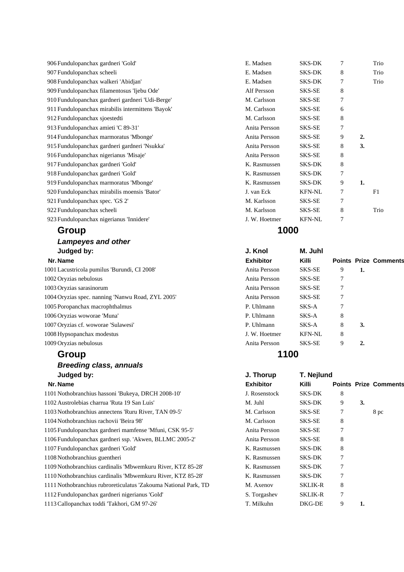### **Group 1000**

### *Lampeyes and other*  **Judged by:**

| 1001 Lacustricola pumilus 'Burundi, CI 2008'      | Anita Persson | SKS-SE        | 9 |    |
|---------------------------------------------------|---------------|---------------|---|----|
| 1002 Oryzias nebulosus                            | Anita Persson | SKS-SE        |   |    |
| 1003 Oryzias sarasinorum                          | Anita Persson | SKS-SE        | 7 |    |
| 1004 Oryzias spec. nanning 'Nanwu Road, ZYL 2005' | Anita Persson | SKS-SE        | 7 |    |
| 1005 Poropanchax macrophthalmus                   | P. Uhlmann    | SKS-A         | 7 |    |
| 1006 Oryzias woworae 'Muna'                       | P. Uhlmann    | SKS-A         | 8 |    |
| 1007 Oryzias cf. woworae 'Sulawesi'               | P. Uhlmann    | SKS-A         | 8 | 3. |
| 1008 Hypsopanchax modestus                        | J. W. Hoetmer | <b>KFN-NL</b> | 8 |    |
| 1009 Oryzias nebulosus                            | Anita Persson | <b>SKS-SE</b> | 9 | 2. |

# **Group 1100** *Breeding class, annuals*  **Judged by:**

| 1101 Nothobranchius hassoni 'Bukeya, DRCH 2008-10'              | J. Rosenstock | <b>SKS-DK</b>  | 8 |      |
|-----------------------------------------------------------------|---------------|----------------|---|------|
| 1102 Austrolebias charrua 'Ruta 19 San Luis'                    | M. Juhl       | <b>SKS-DK</b>  | 9 | 3.   |
| 1103 Nothobranchius annectens 'Ruru River, TAN 09-5'            | M. Carlsson   | SKS-SE         |   | 8 pc |
| 1104 Nothobranchius rachovii 'Beira 98'                         | M. Carlsson   | SKS-SE         | 8 |      |
| 1105 Fundulopanchax gardneri mamfense 'Mfuni, CSK 95-5'         | Anita Persson | SKS-SE         |   |      |
| 1106 Fundulopanchax gardneri ssp. 'Akwen, BLLMC 2005-2'         | Anita Persson | SKS-SE         | 8 |      |
| 1107 Fundulopanchax gardneri 'Gold'                             | K. Rasmussen  | <b>SKS-DK</b>  | 8 |      |
| 1108 Nothobranchius guentheri                                   | K. Rasmussen  | <b>SKS-DK</b>  | 7 |      |
| 1109 Nothobranchius cardinalis 'Mbwemkuru River, KTZ 85-28'     | K. Rasmussen  | <b>SKS-DK</b>  | 7 |      |
| 1110 Nothobranchius cardinalis 'Mbwemkuru River, KTZ 85-28'     | K. Rasmussen  | <b>SKS-DK</b>  | 7 |      |
| 1111 Nothobranchius rubroreticulatus 'Zakouma National Park, TD | M. Axenov     | <b>SKLIK-R</b> | 8 |      |
| 1112 Fundulopanchax gardneri nigerianus 'Gold'                  | S. Torgashev  | <b>SKLIK-R</b> | 7 |      |
| 1113 Callopanchax toddi 'Takhori, GM 97-26'                     | T. Milkuhn    | DKG-DE         | 9 | 1.   |

| 906 Fundulopanchax gardneri 'Gold'                | E. Madsen     | <b>SKS-DK</b> | 7 |                  | Trio |
|---------------------------------------------------|---------------|---------------|---|------------------|------|
| 907 Fundulopanchax scheeli                        | E. Madsen     | SKS-DK        | 8 |                  | Trio |
| 908 Fundulopanchax walkeri 'Abidjan'              | E. Madsen     | SKS-DK        | 7 |                  | Trio |
| 909 Fundulopanchax filamentosus 'Ijebu Ode'       | Alf Persson   | SKS-SE        | 8 |                  |      |
| 910 Fundulopanchax gardneri gardneri 'Udi-Berge'  | M. Carlsson   | SKS-SE        | 7 |                  |      |
| 911 Fundulopanchax mirabilis intermittens 'Bayok' | M. Carlsson   | SKS-SE        | 6 |                  |      |
| 912 Fundulopanchax sjoestedti                     | M. Carlsson   | SKS-SE        | 8 |                  |      |
| 913 Fundulopanchax amieti 'C 89-31'               | Anita Persson | SKS-SE        | 7 |                  |      |
| 914 Fundulopanchax marmoratus 'Mbonge'            | Anita Persson | SKS-SE        | 9 | $\overline{2}$ . |      |
| 915 Fundulopanchax gardneri gardneri 'Nsukka'     | Anita Persson | SKS-SE        | 8 | 3.               |      |
| 916 Fundulopanchax nigerianus 'Misaje'            | Anita Persson | SKS-SE        | 8 |                  |      |
| 917 Fundulopanchax gardneri 'Gold'                | K. Rasmussen  | <b>SKS-DK</b> | 8 |                  |      |
| 918 Fundulopanchax gardneri 'Gold'                | K. Rasmussen  | <b>SKS-DK</b> | 7 |                  |      |
| 919 Fundulopanchax marmoratus 'Mbonge'            | K. Rasmussen  | SKS-DK        | 9 | 1.               |      |
| 920 Fundulopanchax mirabilis moensis 'Bator'      | J. van Eck    | <b>KFN-NL</b> | 7 |                  | F1   |
| 921 Fundulopanchax spec. 'GS 2'                   | M. Karlsson   | SKS-SE        | 7 |                  |      |
| 922 Fundulopanchax scheeli                        | M. Karlsson   | SKS-SE        | 8 |                  | Trio |
| 923 Fundulopanchax nigerianus 'Innidere'          | J. W. Hoetmer | <b>KFN-NL</b> | 7 |                  |      |

| Judged by:                                       | J. Knol          | M. Juhl       |   |    |                              |
|--------------------------------------------------|------------------|---------------|---|----|------------------------------|
| Nr. Name                                         | <b>Exhibitor</b> | <b>Killi</b>  |   |    | <b>Points Prize Comments</b> |
| 001 Lacustricola pumilus 'Burundi, CI 2008'      | Anita Persson    | SKS-SE        | 9 | 1. |                              |
| 002 Oryzias nebulosus                            | Anita Persson    | SKS-SE        | 7 |    |                              |
| 003 Oryzias sarasinorum                          | Anita Persson    | SKS-SE        |   |    |                              |
| 004 Oryzias spec. nanning 'Nanwu Road, ZYL 2005' | Anita Persson    | SKS-SE        | 7 |    |                              |
| 005 Poropanchax macrophthalmus                   | P. Uhlmann       | SKS-A         | 7 |    |                              |
| 006 Oryzias woworae 'Muna'                       | P. Uhlmann       | SKS-A         | 8 |    |                              |
| 007 Oryzias cf. woworae 'Sulawesi'               | P. Uhlmann       | SKS-A         | 8 | 3. |                              |
| 008 Hypsopanchax modestus                        | J. W. Hoetmer    | <b>KFN-NL</b> | 8 |    |                              |
| 009 Oryzias nebulosus                            | Anita Persson    | SKS-SE        | 9 | 2. |                              |
|                                                  |                  |               |   |    |                              |

| Judged by:                                                     | J. Thorup        | T. Nejlund     |   |    |                              |
|----------------------------------------------------------------|------------------|----------------|---|----|------------------------------|
| Nr. Name                                                       | <b>Exhibitor</b> | <b>Killi</b>   |   |    | <b>Points Prize Comments</b> |
| 101 Nothobranchius hassoni 'Bukeya, DRCH 2008-10'              | J. Rosenstock    | SKS-DK         | 8 |    |                              |
| 102 Austrolebias charrua 'Ruta 19 San Luis'                    | M. Juhl          | <b>SKS-DK</b>  | 9 | 3. |                              |
| 103 Nothobranchius annectens 'Ruru River, TAN 09-5'            | M. Carlsson      | SKS-SE         | 7 |    | 8 pc                         |
| 104 Nothobranchius rachovii 'Beira 98'                         | M. Carlsson      | SKS-SE         | 8 |    |                              |
| 105 Fundulopanchax gardneri mamfense 'Mfuni, CSK 95-5'         | Anita Persson    | SKS-SE         | 7 |    |                              |
| 106 Fundulopanchax gardneri ssp. 'Akwen, BLLMC 2005-2'         | Anita Persson    | SKS-SE         | 8 |    |                              |
| 107 Fundulopanchax gardneri 'Gold'                             | K. Rasmussen     | <b>SKS-DK</b>  | 8 |    |                              |
| 108 Nothobranchius guentheri                                   | K. Rasmussen     | <b>SKS-DK</b>  | 7 |    |                              |
| 109 Nothobranchius cardinalis 'Mbwemkuru River, KTZ 85-28'     | K. Rasmussen     | <b>SKS-DK</b>  |   |    |                              |
| 110 Nothobranchius cardinalis 'Mbwemkuru River, KTZ 85-28'     | K. Rasmussen     | <b>SKS-DK</b>  |   |    |                              |
| 111 Nothobranchius rubroreticulatus 'Zakouma National Park, TD | M. Axenov        | <b>SKLIK-R</b> | 8 |    |                              |
| 112 Fundulopanchax gardneri nigerianus 'Gold'                  | S. Torgashev     | <b>SKLIK-R</b> | 7 |    |                              |
| 113 Callopanchax toddi 'Takhori, GM 97-26'                     | T. Milkuhn       | DKG-DE         | 9 | 1. |                              |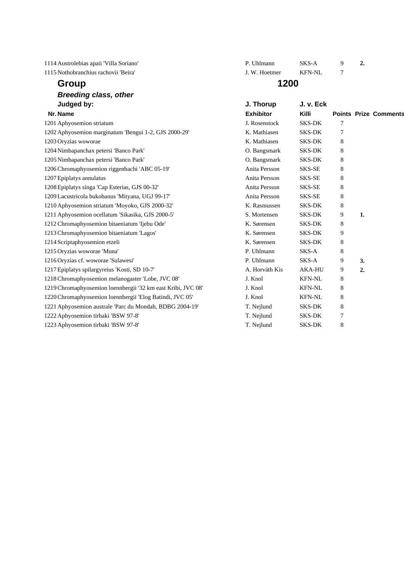| 1114 Austrolebias apaii 'Villa Soriano'                      | P. Uhlmann       | SKS-A         | 9 | 2. |                              |
|--------------------------------------------------------------|------------------|---------------|---|----|------------------------------|
| 1115 Nothobranchius rachovii 'Beira'                         | J. W. Hoetmer    | <b>KFN-NL</b> | 7 |    |                              |
| Group                                                        | 1200             |               |   |    |                              |
| <b>Breeding class, other</b>                                 |                  |               |   |    |                              |
| Judged by:                                                   | J. Thorup        | J. v. Eck     |   |    |                              |
| Nr. Name                                                     | <b>Exhibitor</b> | Killi         |   |    | <b>Points Prize Comments</b> |
| 1201 Aphyosemion striatum                                    | J. Rosenstock    | <b>SKS-DK</b> | 7 |    |                              |
| 1202 Aphyosemion marginatum 'Bengui 1-2, GJS 2000-29'        | K. Mathiasen     | <b>SKS-DK</b> | 7 |    |                              |
| 1203 Oryzias woworae                                         | K. Mathiasen     | <b>SKS-DK</b> | 8 |    |                              |
| 1204 Nimbapanchax petersi 'Banco Park'                       | O. Bangsmark     | <b>SKS-DK</b> | 8 |    |                              |
| 1205 Nimbapanchax petersi 'Banco Park'                       | O. Bangsmark     | <b>SKS-DK</b> | 8 |    |                              |
| 1206 Chromaphyosemion riggenbachi 'ABC 05-19'                | Anita Persson    | SKS-SE        | 8 |    |                              |
| 1207 Epiplatys annulatus                                     | Anita Persson    | SKS-SE        | 8 |    |                              |
| 1208 Epiplatys singa 'Cap Esterias, GJS 00-32'               | Anita Persson    | SKS-SE        | 8 |    |                              |
| 1209 Lacustricola bukobanus 'Mityana, UGJ 99-17'             | Anita Persson    | SKS-SE        | 8 |    |                              |
| 1210 Aphyosemion striatum 'Moyoko, GJS 2000-32'              | K. Rasmussen     | <b>SKS-DK</b> | 8 |    |                              |
| 1211 Aphyosemion ocellatum 'Sikasika, GJS 2000-5'            | S. Mortensen     | <b>SKS-DK</b> | 9 | 1. |                              |
| 1212 Chromaphyosemion bitaeniatum 'Ijebu Ode'                | K. Sørensen      | <b>SKS-DK</b> | 8 |    |                              |
| 1213 Chromaphyosemion bitaeniatum 'Lagos'                    | K. Sørensen      | <b>SKS-DK</b> | 9 |    |                              |
| 1214 Scriptaphyosemion etzeli                                | K. Sørensen      | <b>SKS-DK</b> | 8 |    |                              |
| 1215 Oryzias woworae 'Muna'                                  | P. Uhlmann       | SKS-A         | 8 |    |                              |
| 1216 Oryzias cf. woworae 'Sulawesi'                          | P. Uhlmann       | SKS-A         | 9 | 3. |                              |
| 1217 Epiplatys spilargyreius 'Kosti, SD 10-7'                | A. Horváth Kis   | <b>AKA-HU</b> | 9 | 2. |                              |
| 1218 Chromaphyosemion melanogaster 'Lobe, JVC 08'            | J. Knol          | <b>KFN-NL</b> | 8 |    |                              |
| 1219 Chromaphyosemion loennbergii '32 km east Kribi, JVC 08' | J. Knol          | <b>KFN-NL</b> | 8 |    |                              |
| 1220 Chromaphyosemion loennbergii 'Elog Batindi, JVC 05'     | J. Knol          | <b>KFN-NL</b> | 8 |    |                              |
| 1221 Aphyosemion australe 'Parc du Mondah, BDBG 2004-19'     | T. Nejlund       | <b>SKS-DK</b> | 8 |    |                              |

1222 Aphyosemion tirbaki 'BSW 97-8' T. Nejlund SKS-DK 7 1223 Aphyosemion tirbaki 'BSW 97-8' T. Nejlund SKS-DK 8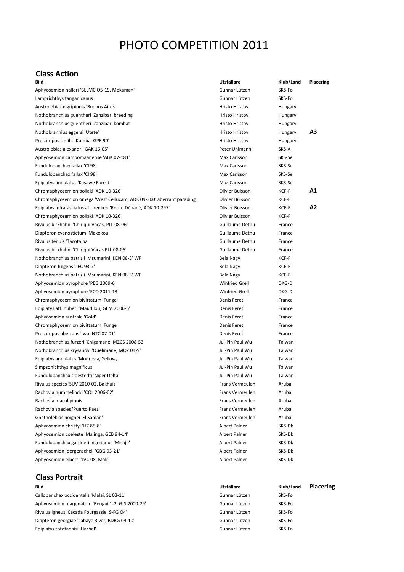# PHOTO COMPETITION 2011

### **Class Action**

| Bild                                                                 | Utställare             | Klub/Land | <b>Placering</b> |
|----------------------------------------------------------------------|------------------------|-----------|------------------|
| Aphyosemion halleri 'BLLMC O5-19, Mekaman'                           | Gunnar Lützen          | SKS-Fo    |                  |
| Lamprichthys tanganicanus                                            | Gunnar Lützen          | SKS-Fo    |                  |
| Austrolebias nigripinnis 'Buenos Aires'                              | <b>Hristo Hristov</b>  | Hungary   |                  |
| Nothobranchius guentheri 'Zanzibar' breeding                         | <b>Hristo Hristov</b>  | Hungary   |                  |
| Nothobranchius guentheri 'Zanzibar' kombat                           | <b>Hristo Hristov</b>  | Hungary   |                  |
| Nothobranhius eggersi 'Utete'                                        | <b>Hristo Hristov</b>  | Hungary   | A3               |
| Procatopus similis 'Kumba, GPE 90'                                   | <b>Hristo Hristov</b>  | Hungary   |                  |
| Austrolebias alexandri 'GAK 16-05'                                   | Peter Uhlmann          | SKS-A     |                  |
| Aphyosemion campomaanense 'ABK 07-181'                               | Max Carlsson           | SKS-Se    |                  |
| Fundulopanchax fallax 'CI 98'                                        | Max Carlsson           | SKS-Se    |                  |
| Fundulopanchax fallax 'CI 98'                                        | Max Carlsson           | SKS-Se    |                  |
| Epiplatys annulatus 'Kasawe Forest'                                  | Max Carlsson           | SKS-Se    |                  |
| Chromaphyosemion poliaki 'ADK 10-326'                                | Olivier Buisson        | KCF-F     | Α1               |
| Chromaphyosemion omega 'West Cellucam, ADK 09-300' aberrant parading | Olivier Buisson        | KCF-F     |                  |
| Epiplatys infrafasciatus aff. zenkeri 'Route Déhané, ADK 10-297'     | Olivier Buisson        | KCF-F     | A2               |
| Chromaphyosemion poliaki 'ADK 10-326'                                | Olivier Buisson        | KCF-F     |                  |
| Rivulus birkhahni 'Chiriqui Vacas, PLL 08-06'                        | Guillaume Dethu        | France    |                  |
| Diapteron cyanostictum 'Makokou'                                     | Guillaume Dethu        | France    |                  |
| Rivulus tenuis 'Tacotalpa'                                           | <b>Guillaume Dethu</b> | France    |                  |
| Rivulus birkhahni 'Chiriqui Vacas PLL 08-06'                         | Guillaume Dethu        | France    |                  |
| Nothobranchius patrizii 'Msumarini, KEN 08-3' WF                     | Bela Nagy              | KCF-F     |                  |
| Diapteron fulgens 'LEC 93-7'                                         | Bela Nagy              | KCF-F     |                  |
| Nothobranchius patrizii 'Msumarini, KEN 08-3' WF                     | Bela Nagy              | KCF-F     |                  |
| Aphyosemion pyrophore 'PEG 2009-6'                                   | <b>Winfried Grell</b>  | DKG-D     |                  |
| Aphyosemion pyrophore 'FCO 2011-13'                                  | <b>Winfried Grell</b>  | DKG-D     |                  |
| Chromaphyosemion bivittatum 'Funge'                                  | Denis Feret            | France    |                  |
| Epiplatys aff. huberi 'Maudilou, GEM 2006-6'                         | Denis Feret            | France    |                  |
| Aphyosemion australe 'Gold'                                          | Denis Feret            | France    |                  |
| Chromaphyosemion bivittatum 'Funge'                                  | Denis Feret            | France    |                  |
| Procatopus aberrans 'Iwo, NTC 07-01'                                 | Denis Feret            | France    |                  |
| Nothobranchius furzeri 'Chigamane, MZCS 2008-53'                     | Jui-Pin Paul Wu        | Taiwan    |                  |
| Nothobranchius krysanovi 'Quelimane, MOZ 04-9'                       | Jui-Pin Paul Wu        | Taiwan    |                  |
| Epiplatys annulatus 'Monrovia, Yellow,                               | Jui-Pin Paul Wu        | Taiwan    |                  |
| Simpsonichthys magnificus                                            | Jui-Pin Paul Wu        | Taiwan    |                  |
| Fundulopanchax sjoestedti 'Niger Delta'                              | Jui-Pin Paul Wu        | Taiwan    |                  |
| Rivulus species 'SUV 2010-02, Bakhuis'                               | Frans Vermeulen        | Aruba     |                  |
| Rachovia hummelincki 'COL 2006-02'                                   | Frans Vermeulen        | Aruba     |                  |
| Rachovia maculipinnis                                                | Frans Vermeulen        | Aruba     |                  |
| Rachovia species 'Puerto Paez'                                       | Frans Vermeulen        | Aruba     |                  |
| Gnatholebias hoignei 'El Saman'                                      | Frans Vermeulen        | Aruba     |                  |
| Aphyosemion christyi 'HZ 85-8'                                       | Albert Palner          | SKS-Dk    |                  |
| Aphyosemion coeleste 'Malinga, GEB 94-14'                            | Albert Palner          | SKS-Dk    |                  |
| Fundulopanchax gardneri nigerianus 'Misaje'                          | <b>Albert Palner</b>   | SKS-Dk    |                  |
| Aphyosemion joergenscheli 'GBG 93-21'                                | Albert Palner          | SKS-Dk    |                  |
| Aphyosemion elberti 'JVC 08, Mali'                                   | Albert Palner          | SKS-Dk    |                  |

# **Class Portrait**

Callopanchax occidentalis 'Malai, SL 03‐11' Gunnar Lützen SKS‐Fo Aphyosemion marginatum 'Bengui 1‐2, GJS 2000‐29' Gunnar Lützen SKS‐Fo Rivulus igneus 'Cacada Fourgassie, S-FG O4' Gunnar Lützen Gunnar Lützen SKS-Fo Diapteron georgiae 'Labaye River, BDBG 04-10' Cunnar Lützen Gunnar Lützen SKS-Fo Epiplatys tototaenisi 'Harbel' Gunnar Lützen SKS‐Fo

**Bild Utställare Klub/Land Placering**